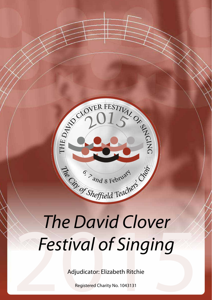

# The David Clover<br>
Pestival of Singing<br>
Adjudicator: Elizabeth Ritchie *The David Clover Festival of Singing*

Adjudicator: Elizabeth Ritchie

Registered Charity No. 1043131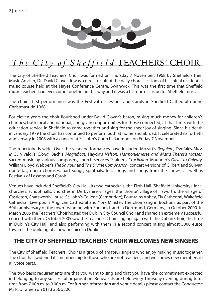

# The  $City$  of  $Sheffield$  TEACHERS' CHOIR

The City of Sheffield Teachers' Choir was formed on Thursday 7 November, 1968 by Sheffield's then Music Adviser, Dr. David Clover. It was a direct result of the daily choral sessions of his initial residential music course held at the Hayes Conference Centre, Swanwick. This was the first time that Sheffield music teachers had ever come together in this way and it was a historic occasion for Sheffield music.

The choir's first performance was the Festival of Lessons and Carols in Sheffield Cathedral during Christmastide 1968.

For eleven years the choir flourished under David Clover's baton, raising much money for children's charities, both local and national, and giving opportunities for those connected, at that time, with the education service in Sheffield to come together and sing for the sheer joy of singing. Since his death in January 1979 the choir has continued to perform both at home and abroad. It celebrated its fortieth anniversary in 2008 with a concert at St. John's Church, Ranmoor, on Friday 7 November.

The repertoire is wide. Over the years performances have included Mozart's *Requiem,* Dvořák's *Mass in D,* Vivaldi's *Gloria,* Bach's *Magnificat,* Haydn's *Nelson, Harmoniemesse and Maria Theresa Masses*, sacred music by various composers, church services, Stainer's *Crucifixion,* Maunder's *Olivet to Calvary,*  William Lloyd Webber's *The Saviour* and *The Divine Compassion*, concert versions of Gilbert and Sulivan operettas, opera choruses, part songs, spirituals, folk songs and songs from the shows, as well as Festivals of Lessons and Carols.

Venues have included Sheffield's City Hall, its two cathedrals, the Firth Hall (Sheffield University), local churches, school halls, churches in Derbyshire villages, the 'Bronte' village of Haworth, the village of Castleton, Chatsworth House, St. John's College (Cambridge), Fountains Abbey, Ely Cathedral, Wakefield Cathedral, Liverpool's Anglican Cathedral and York Minster. The choir sang in Bochum, as part of the 50th anniversary of the town-twinning with Sheffield, and in Dortmund, Germany, in October 2000. In March 2005 the Teachers' Choir hosted the Dublin City Council Choir and shared an extremely successful concert with them. October 2005 saw the Teachers' Choir singing again with the Dublin Choir, this time in Dublin's City Hall, and also performing with them in a second concert raising almost 5000 euros towards the building of a new hospice in Dublin.

#### **THE CITY OF SHEFFIELD TEACHERS' CHOIR WELCOMES NEW SINGERS**

The City of Sheffield Teachers' Choir is a group of amateur singers who enjoy making music together. The choir has widened its membership to those who are not teachers, and welcomes new members in all voice parts.

The two basic requirements are that you want to sing and that you have the commitment expected in belonging to any successful organisation. Rehearsals are held every Thursday evening during term time from 7.00p.m. to 9.00p.m. For further information and venue details please contact the Conductor: Mr R. D. Green on 0113 256 5320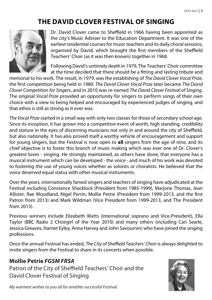# **THE DAVID CLOVER FESTIVAL OF SINGING**



Dr. David Clover came to Sheffield in 1966 having been appointed as the city's Music Adviser to the Education Department. It was one of the earliest residential courses for music teachers and its daily choral sessions, organised by David, which brought the first members of the Sheffield Teachers' Choir (as it was then known) together in 1968.

Following David's untimely death in 1979, The Teachers' Choir committee at the time decided that there should be a fitting and lasting tribute and

memorial to his work. The result, in 1979, was the establishing of *The David Clover Vocal Prize*, the first competition being held in 1980. *The David Clover Vocal Prize* later became *The David Clover Competition for Singers*, and in 2010 was re-named *The David Clover Festival of Singing*. The original *Vocal Prize* provided an opportunity for singers to perform songs of their own choice with a view to being helped and encouraged by experienced judges of singing, and that ethos is still as strong as it ever was.

*The Vocal Prize* started in a small way with only two classes for those of secondary school age. Since its inception, it has grown into a competitive event of worth, high standing, credibility and stature in the eyes of discerning musicians not only in and around the city of Sheffield, but also nationally. It has also proved itself a worthy vehicle of encouragement and support for young singers, but the Festival is now open to **all** singers from the age of nine, and its chief objective is to foster this branch of music making which was ever one of Dr. Clover's greatest loves - singing. He strongly maintained, as others have done, that everyone has a musical instrument which can be developed - the voice - and much of his work was devoted to fostering the use of young voices whether as soloists or choralists. He believed that the voice deserved equal status with other musical instruments.

Over the years, internationally famed singers and teachers of singing have adjudicated at the Festival including Constance Shacklock (President from 1985-1999), Marjorie Thomas, Jean Allister, Rae Woodland, Nigel Perrin, Mollie Petrie (President from 1999-2013, and the first Patron from 2013) and Mark Wildman (Vice President from 1999-2013, and The President from 2013).

Previous winners include Elizabeth Watts (international soprano and Vice-President), Ella Taylor (BBC Radio 2 Choirgirl of the Year 2010) and many others (including Cari Searle, Jessica Greaves, Harriet Eyley, Anna Harvey and John Savournin) who have joined the singing professions.

Once the annual Festival has ended, *The City of Sheffield Teachers' Choir* is always delighted to invite singers from the Festival to share in its concerts when possible.

#### **Mollie Petrie** *FGSM FRSA*

Patron of the City of Sheffield Teachers' Choir and the David Clover Festival of Singing



*My warmest wishes to you all for another successful Festival.*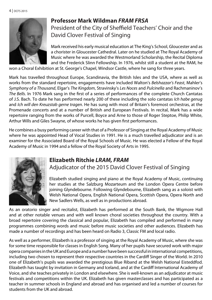

#### **Professor Mark Wildman** *FRAM FRSA*  President of the City of Sheffield Teachers' Choir and the David Clover Festival of Singing

Mark received his early musical education at The King's School, Gloucester and as a chorister in Gloucester Cathedral. Later on he studied at The Royal Academy of Music where he was awarded the Westmorland Scholarship, the Recital Diploma and the Frederick Slinn Fellowship. In 1976, whilst still a student at the RAM, he

won a Choral Exhibition at St. George's Chapel, Windsor Castle, where he sang for three years.

Mark has travelled throughout Europe, Scandinavia, the British Isles and the USA, where as well as works from the standard repertoire, engagements have included Walton's *Belshazzar's Feast*, Mahler's *Symphony of a Thousand*, Elgar's *The Kingdom*, Stravinsky's *Les Noces* and *Pulcinella* and Rachmaninov's *The Bells*. In 1976 Mark sang in the first of a series of performances of the complete Church Cantatas of J.S. Bach. To date he has performed nearly 200 of these including the solo cantatas *Ich habe genug* and *Ich will den Kreuzstab gerne tragen*. He has sung with most of Britain's foremost orchestras, at the Promenade concerts and at a number of British and European Festivals. In recital, Mark has a wide repertoire ranging from the works of Purcell, Boyce and Arne to those of Roger Steptoe, Philip White, Arthur Wills and Giles Swayne, of whose works he has given first performances.

He combines a busy performing career with that of a Professor of Singing at the Royal Academy of Music where he was appointed Head of Vocal Studies in 1991. He is a much travelled adjudicator and is an examiner for the Associated Board of the Royal Schools of Music. He was elected a Fellow of the Royal Academy of Music in 1994 and a fellow of the Royal Society of Arts in 1995.



#### **Elizabeth Ritchie** *LRAM, FRAM*

Adjudicator of the 2015 David Clover Festival of Singing

Elizabeth studied singing and piano at the Royal Academy of Music, continuing her studies at the Salzburg Mozarteum and the London Opera Centre before joining Glyndebourne. Following Glyndebourne, Elizabeth sang as a soloist with Welsh National Opera, English National Opera, Scottish Opera, Opera North and New Sadlers Wells, as well as in productions abroad.

As an oratorio singer and recitalist, Elizabeth has performed at the South Bank, the Wigmore Hall and at other notable venues and with well known choral societies throughout the country. With a broad repertoire covering the classical and popular, Elizabeth has compiled and performed in many programmes combining words and music before music societies and other audiences. Elizabeth has made a number of recordings and has been heard on Radio 3, Classic FM and local radio.

As well as a performer, Elizabeth is a professor of singing at the Royal Academy of Music, where she was for some time responsible for classes in English Song. Many of her pupils have secured work with major opera companies in the UK and Europe and a number have been successful in international competitions, including two chosen to represent their respective countries in the Cardiff Singer of the World. In 2010 one of Elizabeth's pupils was awarded the prestigious Blue Riband at the Welsh National Eisteddfod. Elizabeth has taught by invitation in Germany and Iceland, and at the Cardiff International Academy of Voice, and she teaches privately in London and elsewhere. She is well-known as an adjudicator at music festivals and competitions within the UK. Elizabeth has given masterclasses and has participated as a teacher in summer schools in England and abroad and has organised and led a number of courses for students from the UK and abroad.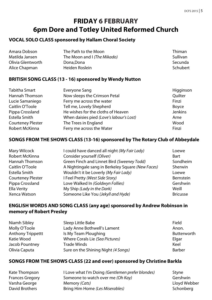# **FRIDAY 6 FEBRUARY 6pm Dore and Totley United Reformed Church**

#### **VOCAL SOLO CLASS sponsored by Hallam Choral Society**

| Amara Dobson      | The Path to the Moon               | <b>Thiman</b> |
|-------------------|------------------------------------|---------------|
| Matilda Jansen    | The Moon and <i>I (The Mikado)</i> | Sullivan      |
| Olivia Glentworth | Dona.Dona                          | Secunda       |
| Alice Chapman     | Heiden Roslein                     | Schubert      |

#### **BRITISH SONG CLASS (13 - 16) sponsored by Wendy Nutton**

| Tabitha Smart            | Everyone Sang                            | Higginson      |
|--------------------------|------------------------------------------|----------------|
| Hannah Thomson           | Now sleeps the Crimson Petal             | Ouilter        |
| Lucie Samaniego          | Ferry me across the water                | Finzi          |
| Caitlin O'Toole          | Tell me, Lovely Shepherd                 | Boyce          |
| Pippa Crossland          | He wishes for the cloths of Heaven       | <b>Jenkins</b> |
| Estella Smith            | When daisies pied (Love's labour's Lost) | Arne           |
| <b>Courteney Plester</b> | The Trees in England                     | Wood           |
| Robert McKinna           | Ferry me across the Water                | Finzi          |

#### **SONGS FROM THE SHOWS CLASS (13-16) sponsored by The Rotary Club of Abbeydale**

| Mary Wilcock             | I could have danced all night (My Fair Lady)      | Loewe           |
|--------------------------|---------------------------------------------------|-----------------|
| Robert McKinna           | Consider yourself (Oliver)                        | Bart            |
| Hannah Thomson           | Green Finch and Linnet Bird (Sweeney Todd)        | Sondheim        |
| Caitlin O'Toole          | A Nightingale sang in Berkeley Square (New Faces) | Sherwin         |
| Estella Smith            | Wouldn't it be Loverly (My Fair Lady)             | Loewe           |
| <b>Courteney Plester</b> | I Feel Pretty (West Side Story)                   | Bernstein       |
| Pippa Crossland          | Love Walked In (Goldwyn Follies)                  | Gershwin        |
| Ella Verity              | My Ship (Lady in the Dark)                        | Weill           |
| Xenca Watson             | Someone Like You (Jekyll and Hyde)                | <b>Bricusse</b> |

#### **ENGLISH WORDS AND SONG CLASS (any age) sponsored by Andrew Robinson in memory of Robert Presley**

| Niamh Sibley             | Sleep Little Babe                   | Field       |
|--------------------------|-------------------------------------|-------------|
| Molly O'Toole            | Lady Anne Bothwell's Lament         | Anon.       |
| <b>Anthony Trippettt</b> | Is My Team Ploughing                | Butterworth |
| Katie Wood               | Where Corals Lie (Sea Pictures)     | Elgar       |
| Jacob Pountney           | Trade Winds                         | Keel        |
| Olivia Caputa            | Sure on the Shining Night (4 Songs) | Barber      |

#### **SONGS FROM THE SHOWS CLASS (22 and over) sponsored by Christine Barkla**

| Kate Thompson          | I Love what I'm Doing (Gentlemen prefer blondes) | Styne        |
|------------------------|--------------------------------------------------|--------------|
| <b>Frances Gregory</b> | Someone to watch over me (Oh Kay)                | Gershwin     |
| Varsha George          | Memory (Cats)                                    | Lloyd Webber |
| David Brothers         | Bring Him Home (Les Miserables)                  | Schonbera    |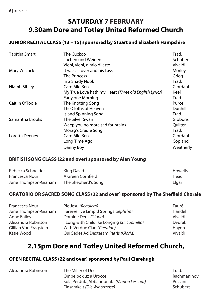# **SATURDAY 7 FEBRUARY 9.30am Dore and Totley United Reformed Church**

#### **JUNIOR RECITAL CLASS (13 – 15) sponsored by Stuart and Elizabeth Hampshire**

| <b>Tabitha Smart</b> | The Cuckoo                                            | Trad.     |
|----------------------|-------------------------------------------------------|-----------|
|                      | Lachen und Weinen                                     | Schubert  |
|                      | Vieni, vieni, o mio diletto                           | Vivaldi   |
| Mary Wilcock         | It was a Lover and his Lass                           | Morley    |
|                      | The Princess                                          | Grieg     |
|                      | In a Shady Nook                                       | Trad.     |
| Niamh Sibley         | Caro Mio Ben                                          | Giordani  |
|                      | My True Love hath my Heart (Three old English Lyrics) | Keel      |
|                      | Early one Morning                                     | Trad.     |
| Caitlin O'Toole      | The Knotting Song                                     | Purcell   |
|                      | The Cloths of Heaven                                  | Dunhill   |
|                      | Island Spinning Song                                  | Trad.     |
| Samantha Brooks      | The Silver Swan                                       | Gibbons   |
|                      | Weep you no more sad fountains                        | Quilter   |
|                      | Morag's Cradle Song                                   | Trad.     |
| Loretta Deeney       | Caro Mio Ben                                          | Giordani  |
|                      | Long Time Ago                                         | Copland   |
|                      | Danny Boy                                             | Weatherly |

#### **BRITISH SONG CLASS (22 and over) sponsored by Alan Young**

| Rebecca Schneider    | King David          | Howells |
|----------------------|---------------------|---------|
| Francesca Nour       | A Green Cornfield   | Head    |
| June Thompson-Graham | The Shepherd's Song | Elgar   |

#### **ORATORIO OR SACRED SONG CLASS (22 and over) sponsored by The Sheffield Chorale**

| Francesca Nour        | Pie Jesu (Requiem)                           | Fauré   |
|-----------------------|----------------------------------------------|---------|
| June Thompson-Graham  | Farewell ye Limpid Springs (Jephtha)         | Handel  |
| Anne Bailey           | Domine Deus (Gloria)                         | Vivaldi |
| Alexandra Robinson    | I Long with Childlike Longing (St. Ludmilla) | Dvořák  |
| Gillian Von Fragstein | With Verdue Clad (Creation)                  | Haydn   |
| Katie Wood            | Qui Sedes Ad Dexteram Patris (Gloria)        | Vivaldi |

### **2.15pm Dore and Totley United Reformed Church,**

#### **OPEN RECITAL CLASS (22 and over) sponsored by Paul Clerehugh**

| Alexandra Robinson | The Miller of Dee                          | Trad.       |
|--------------------|--------------------------------------------|-------------|
|                    | Ompejbok uz a Urocce                       | Rachmaninov |
|                    | Sola, Perduta, Abbandonata (Manon Lescaut) | Puccini     |
|                    | Einsamkeit (Die Winterreise)               | Schubert    |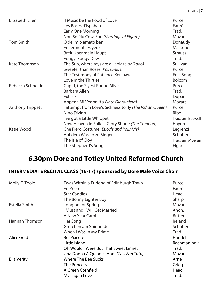| Elizabeth Ellen         | If Music be the Food of Love                             | Purcell            |
|-------------------------|----------------------------------------------------------|--------------------|
|                         | Les Roses d'Ispahan                                      | Fauré              |
|                         | Early One Morning                                        | Trad.              |
|                         | Non So Piu Cosa Son (Marriage of Figaro)                 | Mozart             |
| <b>Tom Smith</b>        | O del mio amato ben                                      | Donaudy            |
|                         | En ferment les yeux                                      | Massenet           |
|                         | <b>Breit Uber mein Haupt</b>                             | <b>Strauss</b>     |
|                         | Foggy, Foggy Dew                                         | Trad.              |
| Kate Thompson           | The Sun, where rays are all ablaze (Mikado)              | Sullivan           |
|                         | Sweeter than Roses (Pausanius)                           | Purcell            |
|                         | The Testimony of Patience Kershaw                        | Folk Song          |
|                         | Love in the Thirties                                     | <b>Bolcom</b>      |
| Rebecca Schneider       | Cupid, the Slyest Roque Alive                            | Purcell            |
|                         | Barbara Allen                                            | Trad.              |
|                         | Extase                                                   | Duparc             |
|                         | Appena Mi Vedon (La Finta Giardiniera)                   | Mozart             |
| <b>Anthony Trippett</b> | I attempt from Love's Sickness to fly (The Indian Queen) | Purcell            |
|                         | Nino Divino                                              | Ribo               |
|                         | I've got a Little Whippet                                | Trad. arr. Boswell |
|                         | Now Heaven in Fullest Glory Shone (The Creation)         | Haydn              |
| Katie Wood              | Che Fiero Costume (Etiocle and Polinicie)                | Legrenzi           |
|                         | Auf dem Wasser zu Singen                                 | Schubert           |
|                         | The Isle of Cloy                                         | Trad. arr. Moeran  |
|                         | The Shepherd's Song                                      | Elgar              |

# **6.30pm Dore and Totley United Reformed Church**

#### **INTERMEDIATE RECITAL CLASS (16-17) sponsored by Dore Male Voice Choir**

| Molly O'Toole  | Twas Within a Furlong of Edinburgh Town    | Purcell        |
|----------------|--------------------------------------------|----------------|
|                | En Priere                                  | Fauré          |
|                | <b>Star Candles</b>                        | Head           |
|                | The Bonny Lighter Boy                      | Sharp          |
| Estella Smith  | Longing for Spring                         | Mozart         |
|                | <b>I Must and I Will Get Married</b>       | Anon.          |
|                | A New Year Carol                           | <b>Britten</b> |
| Hannah Thomson | Her Song                                   | Ireland        |
|                | Gretchen am Spinnrade                      | Schubert       |
|                | When I Was In My Prime                     | Trad.          |
| Alice Gold     | <b>Bel Piacere</b>                         | Handel         |
|                | Little Island                              | Rachmaninov    |
|                | Oh, Would I Were But That Sweet Linnet     | Trad.          |
|                | Una Donna A Quindici Anni (Cosi Fan Tutti) | Mozart         |
| Ella Verity    | Where The Bee Sucks                        | Arne           |
|                | <b>The Princess</b>                        | Grieg          |
|                | A Green Cornfield                          | Head           |
|                | My Lagan Love                              | Trad.          |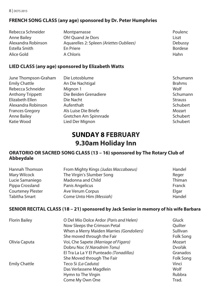#### **FRENCH SONG CLASS (any age) sponsored by Dr. Peter Humphries**

| Rebecca Schneider  | Montparnasse                             | <b>Poulenc</b> |
|--------------------|------------------------------------------|----------------|
| Anne Bailey        | Oh! Quand Je Dors                        | Liszt          |
| Alexandra Robinson | Aquarelles 2: Spleen (Ariettes Oubliees) | Debussy        |
| Estella Smith      | En Priere                                | <b>Bordese</b> |
| Alice Gold         | A Chloris                                | Hahn           |

#### **LIED CLASS (any age) sponsored by Elizabeth Watts**

| June Thompson-Graham    | Die Lotosblume        | Schumann       |
|-------------------------|-----------------------|----------------|
| <b>Emily Chattle</b>    | An Die Nachtigal      | <b>Brahms</b>  |
| Rebecca Schneider       | Mignon 1              | Wolf           |
| <b>Anthony Trippett</b> | Die Beiden Grenadiere | Schumann       |
| Elizabeth Ellen         | Die Nacht             | <b>Strauss</b> |
| Alexandra Robinson      | Aufenthalt            | Schubert       |
| <b>Frances Gregory</b>  | Als Luise Die Briefe  | Mozart         |
| Anne Bailey             | Gretchen Am Spinnrade | Schubert       |
| Katie Wood              | Lied Der Mignon       | Schubert       |

## **SUNDAY 8 FEBRUARY 9.30am Holiday Inn**

#### **ORATORIO OR SACRED SONG CLASS (13 – 16) sponsored by The Rotary Club of Abbeydale**

| Hannah Thomson           | From Mighty Kings (Judas Maccabaeus) | Handel |
|--------------------------|--------------------------------------|--------|
| Mary Wilcock             | The Virgin's Slumber Song            | Reger  |
| Lucie Samaniego          | Madonna and Child                    | Thiman |
| Pippa Crossland          | Panis Angelicus                      | Franck |
| <b>Courteney Plester</b> | Ave Verum Corpus                     | Elgar  |
| Tabitha Smart            | Come Unto Him (Messiah)              | Handel |

#### **SENIOR RECITAL CLASS (18 – 21) sponsored by Jack Senior in memory of his wife Barbara**

| <b>Florin Bailey</b> | O Del Mio Dolce Ardor (Paris and Helen)  | Gluck          |
|----------------------|------------------------------------------|----------------|
|                      | Now Sleeps the Crimson Petal             | <b>Ouilter</b> |
|                      | When a Merry Maiden Marries (Gondoliers) | Sullivan       |
|                      | She moved through the Fair               | Folk Song      |
| Olivia Caputa        | Voi, Che Sapete (Marriage of Figaro)     | Mozart         |
|                      | Dobru Noc (V.Narodnim Tonu)              | Dvořák         |
|                      | El Tra La La Y El Punteado (Tonadillas)  | Granados       |
|                      | She Moved through The Fair               | Folk Song      |
| <b>Emily Chattle</b> | Teco Si (La Caduta)                      | Vinci          |
|                      | Das Verlassene Magdlein                  | Wolf           |
|                      | Hymn to The Virgin                       | Rubbra         |
|                      | Come My Own One                          | Trad.          |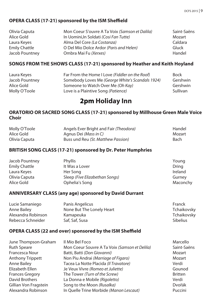#### **OPERA CLASS (17-21) sponsored by the ISM Sheffield**

| Olivia Caputa        | Mon Coeur S'ouvre A Ta Voix (Samson et Dalila) | Saint-Saëns |
|----------------------|------------------------------------------------|-------------|
| Alice Gold           | In Uomini. In Soldati (Cosi Fan Tutte)         | Mozart      |
| Laura Keyes          | Alma Del Core (La Costanza)                    | Caldara     |
| <b>Emily Chattle</b> | O Del Mio Dolce Ardor (Paris and Helen)        | Gluck       |
| Jacob Pountney       | Ombra Mai Fu (Xerxes)                          | Handel      |

#### **SONGS FROM THE SHOWS CLASS (17-21) sponsored by Heather and Keith Hoyland**

| Laura Keyes    | Far From the Home I Love (Fiddler on the Roof)   | <b>Bock</b> |
|----------------|--------------------------------------------------|-------------|
| Jacob Pountney | Somebody Loves Me (George White's Scandals 1924) | Gershwin    |
| Alice Gold     | Someone to Watch Over Me (Oh Kay)                | Gershwin    |
| Molly O'Toole  | Love is a Plaintive Song (Patience)              | Sullivan    |

# **2pm Holiday Inn**

#### **ORATORIO OR SACRED SONG CLASS (17-21) sponsored by Millhouse Green Male Voice Choir**

| Molly O'Toole | Angels Ever Bright and Fair (Theodora) | Handel |
|---------------|----------------------------------------|--------|
| Alice Gold    | Agnus Dei ( <i>Mass in C</i> )         | Mozart |
| Olivia Caputa | Buss und Reu (St. Matthew Passion)     | Bach   |

#### **BRITISH SONG CLASS (17-21) sponsored by Dr. Peter Humphries**

| Jacob Pountney | Phyllis                        | Young    |
|----------------|--------------------------------|----------|
| Emily Chattle  | It Was a Lover                 | Dring    |
| Laura Keyes    | Her Song                       | Ireland  |
| Olivia Caputa  | Sleep (Five Elizabethan Songs) | Gurney   |
| Alice Gold     | Ophelia's Song                 | Maconchy |

#### **ANNIVERSARY CLASS (any age) sponsored by David Durrant**

| Lucie Samaniego    | Panis Angelicus           | Franck          |
|--------------------|---------------------------|-----------------|
| Anne Bailey        | None But The Lonely Heart | Tchaikovsky     |
| Alexandra Robinson | Kamapeuka                 | Tchaikovsky     |
| Rebecca Schneider  | Saf, Saf, Susa            | <b>Sibelius</b> |

#### **OPERA CLASS (22 and over) sponsored by the ISM Sheffield**

| June Thompson-Graham    | Il Mio Bel Foco                               | Marcello       |
|-------------------------|-----------------------------------------------|----------------|
| <b>Ruth Speare</b>      | Mon Coeur Souvre A Ta Voix (Samson et Delila) | Saint-Saëns    |
| Francesca Nour          | Batti, Batti (Don Giovanni)                   | Mozart         |
| <b>Anthony Trippett</b> | Non Piu Andrai (Marriage of Figaro)           | Mozart         |
| Anne Bailey             | Tacea La Notte Placida (Il Travatore)         | Verdi          |
| Elizabeth Ellen         | Je Veux Vivre (Romeo et Juliette)             | Gounod         |
| <b>Frances Gregory</b>  | The Tower (Turn of the Screw)                 | <b>Britten</b> |
| David Brothers          | La Donna e Mobile (Rigoletto)                 | Verdi          |
| Gillian Von Fragstein   | Song to the Moon (Rusalka)                    | Dvořák         |
| Alexandra Robinson      | In Quelle Trine Morbide (Manon Lescaut)       | Puccini        |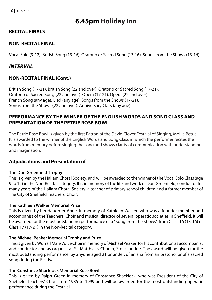# **6.45pm Holiday Inn**

#### **RECITAL FINALS**

#### **NON-RECITAL FINAL**

Vocal Solo (9-12). British Song (13-16). Oratorio or Sacred Song (13-16). Songs from the Shows (13-16)

#### *INTERVAL*

#### **NON-RECITAL FINAL (Cont.)**

British Song (17-21). British Song (22 and over). Oratorio or Sacred Song (17-21). Oratorio or Sacred Song (22 and over). Opera (17-21). Opera (22 and over). French Song (any age). Lied (any age). Songs from the Shows (17-21). Songs from the Shows (22 and over). Anniversary Class (any age)

#### **PERFORMANCE BY THE WINNER OF THE ENGLISH WORDS AND SONG CLASS AND PRESENTATION OF THE PETRIE ROSE BOWL**

The Petrie Rose Bowl is given by the first Patron of the David Clover Festival of Singing, Mollie Petrie. It is awarded to the winner of the English Words and Song Class in which the performer recites the words from memory before singing the song and shows clarity of communication with understanding and imagination.

#### **Adjudications and Presentation of**

#### **The Don Greenfield Trophy**

This is given by the Hallam Choral Society, and will be awarded to the winner of the Vocal Solo Class (age 9 to 12) in the Non-Recital category. It is in memory of the life and work of Don Greenfield, conductor for many years of the Hallam Choral Society, a teacher of primary school children and a former member of The City of Sheffield Teachers' Choir.

#### **The Kathleen Walker Memorial Prize**

This is given by her daughter Anne, in memory of Kathleen Walker, who was a founder member and accompanist of the Teachers' Choir and musical director of several operatic societies in Sheffield. It will be awarded for the most outstanding performance of a "Song from the Shows" from Class 16 (13-16) or Class 17 (17-21) in the Non-Recital category.

#### **The Michael Peaker Memorial Trophy and Prize**

This is given by Worrall Male Voice Choir in memory of Michael Peaker, for his contribution as accompanist and conductor and as organist at St. Matthias's Church, Stocksbridge. The award will be given for the most outstanding performance, by anyone aged 21 or under, of an aria from an oratorio, or of a sacred song during the Festival.

#### **The Constance Shacklock Memorial Rose Bowl**

This is given by Ralph Green in memory of Constance Shacklock, who was President of the City of Sheffield Teachers' Choir from 1985 to 1999 and will be awarded for the most outstanding operatic performance during the Festival.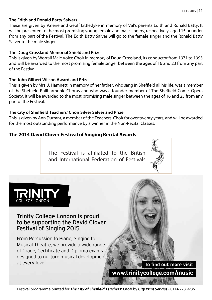#### **The Edith and Ronald Batty Salvers**

These are given by Valerie and Geoff Littledyke in memory of Val's parents Edith and Ronald Batty. It will be presented to the most promising young female and male singers, respectively, aged 15 or under from any part of the Festival. The Edith Batty Salver will go to the female singer and the Ronald Batty Salver to the male singer.

#### **The Doug Crossland Memorial Shield and Prize**

This is given by Worrall Male Voice Choir in memory of Doug Crossland, its conductor from 1971 to 1995 and will be awarded to the most promising female singer between the ages of 16 and 23 from any part of the Festival.

#### **The John Gilbert Wilson Award and Prize**

This is given by Mrs. J. Hamnett in memory of her father, who sang in Sheffield all his life, was a member of the Sheffield Philharmonic Chorus and who was a founder member of The Sheffield Comic Opera Society. It will be awarded to the most promising male singer between the ages of 16 and 23 from any part of the Festival.

#### **The City of Sheffield Teachers' Choir Silver Salver and Prize**

This is given by Ann Durrant, a member of the Teachers' Choir for over twenty years, and will be awarded for the most outstanding performance by a winner in the Non-Recital Classes.

#### **The 2014 David Clover Festival of Singing Recital Awards**

The Festival is affiliated to the British and International Federation of Festivals





#### Trinity College London is proud to be supporting the David Clover Festival of Singing 2015

From Percussion to Piano, Singing to Musical Theatre, we provide a wide range of Grade, Certificate and Diploma exams designed to nurture musical development at every level.

**To find out more visit www.trinitycollege.com/music**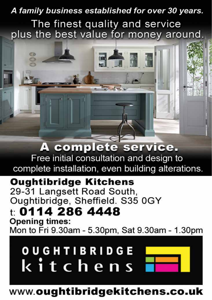# A family business established for over 30 years. The finest quality and service plus the best value for money around.

5511

A complete service. Free initial consultation and design to complete installation, even building alterations.

**Oughtibridge Kitchens** 29-31 Langsett Road South, Oughtibridge, Sheffield. S35 0GY

# t: 0114 286 4448

**Opening times:** Mon to Fri 9.30am - 5.30pm, Sat 9.30am - 1.30pm

# **OUGHTIBRIDGE** kitchens



# www.oughtibridgekitchens.co.uk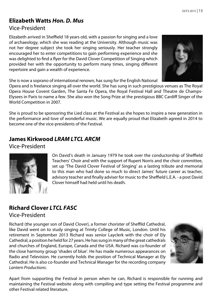#### **Elizabeth Watts** *Hon. D. Mus* Vice-President

Elizabeth arrived in Sheffield 18 years old, with a passion for singing and a love of archaeology, which she was reading at the University. Although music was not her degree subject she took her singing seriously. Her teacher strongly encouraged her to enter competitions to gain performing experience and she was delighted to find a flyer for the David Clover Competition of Singing which provided her with the opportunity to perform many times, singing different repertoire and gain a wealth of experience.



She is now a soprano of international renown, has sung for the English National

Opera and is freelance singing all over the world. She has sung in such prestigious venues as The Royal Opera House Covent Garden, The Santa Fe Opera, the Royal Festival Hall and Theatre de Champs-Elysees in Paris to name a few. She also won the Song Prize at the prestigious BBC Cardiff Singer of the World Competition in 2007.

She is proud to be sponsoring the Lied class at the Festival as she hopes to inspire a new generation in the performance and love of wonderful music. We are equally proud that Elizabeth agreed in 2014 to become one of the vice-presidents of the Festival.

# **James Kirkwood** *LRAM LTCL ARCM*

Vice-President



On David's death in January 1979 he took over the conductorship of Sheffield Teachers' Choir and with the support of Rupert Norris and the choir committee, set up 'The David Clover Festival of Singing' as a lasting tribute and memorial to this man who had done so much to direct James' future career as teacher, advisory teacher and finally adviser for music to the Sheffield L.E.A. - a post David Clover himself had held until his death.

#### **Richard Clover** *LTCL FASC* Vice-President

Richard (the younger son of David Clover), a former chorister of Sheffild Cathedral, like David went on to study singing at Trinity College of Music, London. Until his retirement in September 2013 Richard was senior Layclerk with the choir of Ely Cathedral, a position he held for 27 years. He has sung in many of the great cathedrals and churches of England, Europe, Canada and the USA. Richard was co-founder of the close harmony group 'shades of blue'. He has made numerous appearances on Radio and Television. He currently holds the position of Technical Manager at Ely Cathedral. He is also co-founder and Technical Manager for the recording company *Lantern Productions*.



Apart from supporting the Festival in person when he can, Richard is responsible for running and maintaining the Festival website along with compiling and type setting the Festival programme and other Festival related literature.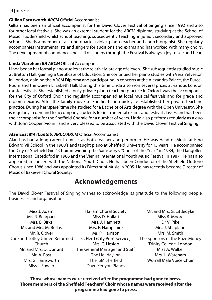#### 14 | DCFS 2015

#### **Gillian Farnsworth** *ARCM* Official Accompanist

Gillian has been an official accompanist for the David Clover Festival of Singing since 1992 and also for other local festivals. She was an external student for the ARCM diploma, studying at the School of Music Huddersfield whilst school teaching, subsequently teaching in junior, secondary and approved schools. She is a member of a string quartet (viola), piano teacher and church organist. She regularly accompanies instrumentalists and singers for auditions and exams and has worked with many choirs. The development of confidence and skill of singers through the Festival is always a joy to see and hear.

#### **Linda Wareham** *BA ARCM* Official Accompanist

Linda began her formal piano studies at the relatively late age of eleven. She subsequently studied music at Bretton Hall, gaining a Certificate of Education. She continued her piano studies with Vera Yelverton in London, gaining the ARCM Diploma and participating in concerts at the Alexandra Palace, the Purcell Room and the Queen Elizabeth Hall. During this time Linda also won several prizes at various London music festivals. She established a busy private piano teaching practice in Oxford, was the accompanist for the City of Oxford Choir and regularly accompanied at local musical festivals and for grade and diploma exams. After the family move to Sheffield she quickly re-established her private teaching practice. During her 'spare' time she studied for a Bachelor of Arts degree with the Open University. She is regularly in demand to accompany students for instrumental exams and festival classes and has been the accompanist for the Sheffield Chorale for a number of years. Linda also performs regularly as a duo with John Cooper (violin), and is very pleased to be associated with the David Clover Festival Singing.

#### **Alan Eost** *MA (Cantab) ARCO ARCM* Official Accompanist

Alan has had a long career in music as both teacher and performer. He was Head of Music at King Edward VII School in the 1980's and taught piano at Sheffield University for 15 years. He accompanied the City of Sheffield Girls' Choir in winning the Sainsbury's "Choir of the Year " in 1984, the Llangollen International Eisteddfod in 1986 and the Vienna International Youth Music Festival in 1987. He has also appeared in concert with the National Youth Choir. He has been Conductor of the Sheffield Oratorio Chorus since 1986 and was appointed its Director of Music in 2005. He has recently become Director of Music of Bakewell Choral Society.

# **Acknowledgements**

The David Clover Festival of Singing wishes to acknowledge its gratitude to the following people, businesses and organisations:

Hallam Choral Society

Miss J. Adam Ms. R. Bearpark Mrs. B. Birks Mr. and Mrs. M. Bullas Mr. R. Clover Dore and Totley United Reformed Church Mr. and Mrs. D. Durrant Mr. A. Eost Mrs. G. Farnsworth Miss J. Fowler

Miss D. Hallatt Mrs. J. Hamnett Mrs. E. Hampshire Mr. P. Harrison C. Herd (City Print Service) Mrs. C. Heslop The General Manager and Staff, The Holiday Inn The ISM Sheffield Dave Kenyon Pianos

Mr. and Mrs. G. Littledyke Miss B. Moore Dr V. Pike Mrs. J. Shapland Mrs. M. Smith The Sponsors of the Prize Money Trinity College, London Miss A. Walker Mrs. L. Wareham Worrall Male Voice Choir

**Those whose names were received after the programme had gone to press. Those members of the Sheffield Teachers' Choir whose names were received after the programme had gone to press.**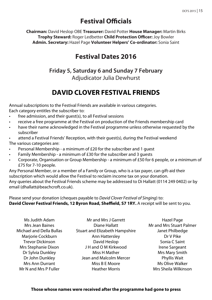# **Festival Officials**

**Chairman:** David Heslop OBE **Treasurer:** David Potter **House Manager:** Martin Birks **Trophy Steward:** Roger Ledbetter **Child Protection Officer:** Joy Bowler **Admin. Secretary:** Hazel Page **Volunteer Helpers' Co-ordinator:** Sonia Saint

## **Festival Dates 2016**

#### **Friday 5, Saturday 6 and Sunday 7 February** Adjudicator Julia Dewhurst

# **DAVID CLOVER FESTIVAL FRIENDS**

Annual subscriptions to the Festival Friends are available in various categories. Each category entitles the subscriber to:

- free admission, and their guest(s), to all Festival sessions
- receive a free programme at the Festival on production of the Friends membership card
- have their name acknowledged in the Festival programme unless otherwise requested by the subscriber
- attend a Festival Friends' Reception, with their guest(s), during the Festival weekend The various categories are:
- Personal Membership a minimum of £20 for the subscriber and 1 guest
- Family Membership a minimum of £30 for the subscriber and 3 guests
- Corporate, Organisation or Group Membership a minimum of £50 for 6 people, or a minimum of £75 for 7-10 people.

Any Personal Member, or a member of a Family or Group, who is a tax payer, can gift-aid their subscription which would allow the Festival to reclaim income tax on your donation. Any queries about the Festival Friends scheme may be addressed to Di Hallatt (0114 249 0402) or by email (dhallatt@beachcroft.co.uk).

Please send your donation (cheques payable to *David Clover Festival of Singing*) to: **David Clover Festival Friends, 12 Byron Road, Sheffield, S7 1RY.** A receipt will be sent to you.

| Ms Judith Adam           | Mr and Mrs J Garrett                  | Hazel Page               |
|--------------------------|---------------------------------------|--------------------------|
| Mrs Jean Baines          | Diane Hallatt                         | Mr and Mrs Stuart Palmer |
| Michael and Della Bullas | <b>Stuart and Elizabeth Hampshire</b> | Janet Philbedge          |
| Marjorie Cockburn        | Ann Hattersley                        | Dr V Pike                |
| <b>Trevor Dickinson</b>  | David Heslop                          | Sonia C Saint            |
| Mrs Stephanie Dixon      | J H and O M Kirkwood                  | Irene Sargeant           |
| Dr Sylvia Dunkley        | Miss H Mather                         | Mrs Mary Smith           |
| Dr John Dunkley          | Jean and Malcolm Mercer               | Phyllis Wait             |
| <b>Mrs Ann Durrant</b>   | Miss B E Moore                        | Ms Olive Walker          |
| Mr N and Mrs P Fuller    | <b>Heather Morris</b>                 | Mrs Sheila Wilkinson     |